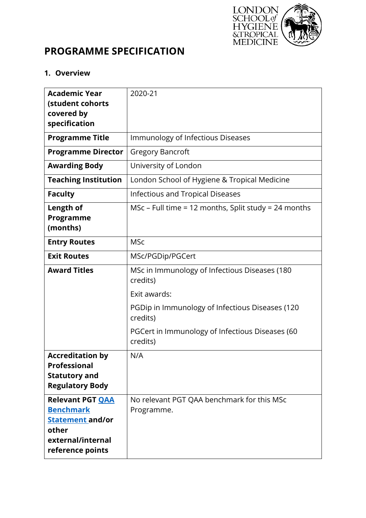

# **PROGRAMME SPECIFICATION**

# **1. Overview**

| <b>Academic Year</b><br>(student cohorts<br>covered by                                                                   | 2020-21                                                     |
|--------------------------------------------------------------------------------------------------------------------------|-------------------------------------------------------------|
| specification                                                                                                            |                                                             |
| <b>Programme Title</b>                                                                                                   | Immunology of Infectious Diseases                           |
| <b>Programme Director</b>                                                                                                | <b>Gregory Bancroft</b>                                     |
| <b>Awarding Body</b>                                                                                                     | University of London                                        |
| <b>Teaching Institution</b>                                                                                              | London School of Hygiene & Tropical Medicine                |
| <b>Faculty</b>                                                                                                           | <b>Infectious and Tropical Diseases</b>                     |
| Length of<br>Programme<br>(months)                                                                                       | MSc – Full time = 12 months, Split study = 24 months        |
| <b>Entry Routes</b>                                                                                                      | <b>MSc</b>                                                  |
| <b>Exit Routes</b>                                                                                                       | MSc/PGDip/PGCert                                            |
| <b>Award Titles</b>                                                                                                      | MSc in Immunology of Infectious Diseases (180<br>credits)   |
|                                                                                                                          | Exit awards:                                                |
|                                                                                                                          | PGDip in Immunology of Infectious Diseases (120<br>credits) |
|                                                                                                                          | PGCert in Immunology of Infectious Diseases (60<br>credits) |
| <b>Accreditation by</b><br><b>Professional</b><br><b>Statutory and</b><br><b>Regulatory Body</b>                         | N/A                                                         |
| <b>Relevant PGT QAA</b><br><b>Benchmark</b><br><b>Statement and/or</b><br>other<br>external/internal<br>reference points | No relevant PGT QAA benchmark for this MSc<br>Programme.    |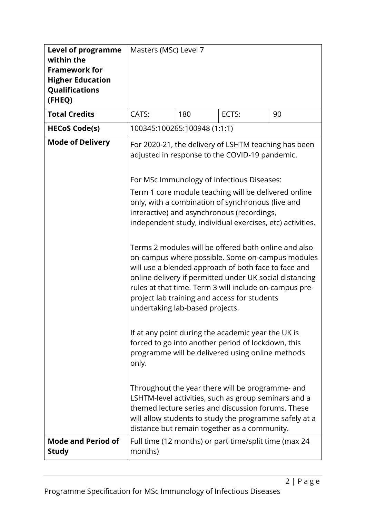| <b>Level of programme</b><br>within the<br><b>Framework for</b><br><b>Higher Education</b><br>Qualifications<br>(FHEQ) | Masters (MSc) Level 7                    |     |                                                                                                                                                                                                                                                                                                                                                                                                                                                                                                                                                                                                                                                                                                                                                                                                                                                                                                                                                                                                                                                                                                                                                                   |    |  |
|------------------------------------------------------------------------------------------------------------------------|------------------------------------------|-----|-------------------------------------------------------------------------------------------------------------------------------------------------------------------------------------------------------------------------------------------------------------------------------------------------------------------------------------------------------------------------------------------------------------------------------------------------------------------------------------------------------------------------------------------------------------------------------------------------------------------------------------------------------------------------------------------------------------------------------------------------------------------------------------------------------------------------------------------------------------------------------------------------------------------------------------------------------------------------------------------------------------------------------------------------------------------------------------------------------------------------------------------------------------------|----|--|
| <b>Total Credits</b>                                                                                                   | CATS:                                    | 180 | ECTS:                                                                                                                                                                                                                                                                                                                                                                                                                                                                                                                                                                                                                                                                                                                                                                                                                                                                                                                                                                                                                                                                                                                                                             | 90 |  |
| <b>HECoS Code(s)</b>                                                                                                   | 100345:100265:100948 (1:1:1)             |     |                                                                                                                                                                                                                                                                                                                                                                                                                                                                                                                                                                                                                                                                                                                                                                                                                                                                                                                                                                                                                                                                                                                                                                   |    |  |
| <b>Mode of Delivery</b>                                                                                                | undertaking lab-based projects.<br>only. |     | For 2020-21, the delivery of LSHTM teaching has been<br>adjusted in response to the COVID-19 pandemic.<br>For MSc Immunology of Infectious Diseases:<br>Term 1 core module teaching will be delivered online<br>only, with a combination of synchronous (live and<br>interactive) and asynchronous (recordings,<br>independent study, individual exercises, etc) activities.<br>Terms 2 modules will be offered both online and also<br>on-campus where possible. Some on-campus modules<br>will use a blended approach of both face to face and<br>online delivery if permitted under UK social distancing<br>rules at that time. Term 3 will include on-campus pre-<br>project lab training and access for students<br>If at any point during the academic year the UK is<br>forced to go into another period of lockdown, this<br>programme will be delivered using online methods<br>Throughout the year there will be programme- and<br>LSHTM-level activities, such as group seminars and a<br>themed lecture series and discussion forums. These<br>will allow students to study the programme safely at a<br>distance but remain together as a community. |    |  |
| <b>Mode and Period of</b>                                                                                              |                                          |     | Full time (12 months) or part time/split time (max 24                                                                                                                                                                                                                                                                                                                                                                                                                                                                                                                                                                                                                                                                                                                                                                                                                                                                                                                                                                                                                                                                                                             |    |  |
| <b>Study</b>                                                                                                           | months)                                  |     |                                                                                                                                                                                                                                                                                                                                                                                                                                                                                                                                                                                                                                                                                                                                                                                                                                                                                                                                                                                                                                                                                                                                                                   |    |  |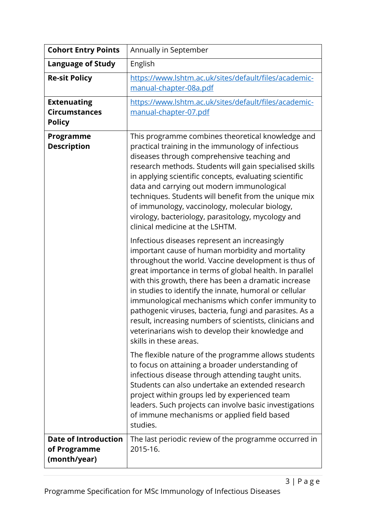| <b>Cohort Entry Points</b>                                  | Annually in September                                                                                                                                                                                                                                                                                                                                                                                                                                                                                                                                                                             |
|-------------------------------------------------------------|---------------------------------------------------------------------------------------------------------------------------------------------------------------------------------------------------------------------------------------------------------------------------------------------------------------------------------------------------------------------------------------------------------------------------------------------------------------------------------------------------------------------------------------------------------------------------------------------------|
| <b>Language of Study</b>                                    | English                                                                                                                                                                                                                                                                                                                                                                                                                                                                                                                                                                                           |
| <b>Re-sit Policy</b>                                        | https://www.lshtm.ac.uk/sites/default/files/academic-<br>manual-chapter-08a.pdf                                                                                                                                                                                                                                                                                                                                                                                                                                                                                                                   |
| <b>Extenuating</b><br><b>Circumstances</b><br><b>Policy</b> | https://www.lshtm.ac.uk/sites/default/files/academic-<br>manual-chapter-07.pdf                                                                                                                                                                                                                                                                                                                                                                                                                                                                                                                    |
| Programme<br><b>Description</b>                             | This programme combines theoretical knowledge and<br>practical training in the immunology of infectious<br>diseases through comprehensive teaching and<br>research methods. Students will gain specialised skills<br>in applying scientific concepts, evaluating scientific<br>data and carrying out modern immunological<br>techniques. Students will benefit from the unique mix<br>of immunology, vaccinology, molecular biology,<br>virology, bacteriology, parasitology, mycology and<br>clinical medicine at the LSHTM.                                                                     |
|                                                             | Infectious diseases represent an increasingly<br>important cause of human morbidity and mortality<br>throughout the world. Vaccine development is thus of<br>great importance in terms of global health. In parallel<br>with this growth, there has been a dramatic increase<br>in studies to identify the innate, humoral or cellular<br>immunological mechanisms which confer immunity to<br>pathogenic viruses, bacteria, fungi and parasites. As a<br>result, increasing numbers of scientists, clinicians and<br>veterinarians wish to develop their knowledge and<br>skills in these areas. |
|                                                             | The flexible nature of the programme allows students<br>to focus on attaining a broader understanding of<br>infectious disease through attending taught units.<br>Students can also undertake an extended research<br>project within groups led by experienced team<br>leaders. Such projects can involve basic investigations<br>of immune mechanisms or applied field based<br>studies.                                                                                                                                                                                                         |
| <b>Date of Introduction</b><br>of Programme<br>(month/year) | The last periodic review of the programme occurred in<br>2015-16.                                                                                                                                                                                                                                                                                                                                                                                                                                                                                                                                 |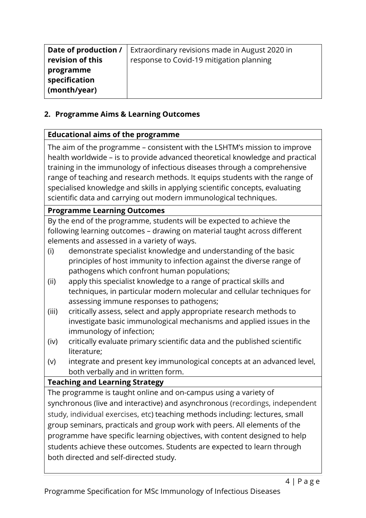| Date of production /                       | Extraordinary revisions made in August 2020 in |
|--------------------------------------------|------------------------------------------------|
| revision of this                           | response to Covid-19 mitigation planning       |
| programme<br>specification<br>(month/year) |                                                |

# **2. Programme Aims & Learning Outcomes**

# **Educational aims of the programme**

The aim of the programme – consistent with the LSHTM's mission to improve health worldwide – is to provide advanced theoretical knowledge and practical training in the immunology of infectious diseases through a comprehensive range of teaching and research methods. It equips students with the range of specialised knowledge and skills in applying scientific concepts, evaluating scientific data and carrying out modern immunological techniques.

# **Programme Learning Outcomes**

By the end of the programme, students will be expected to achieve the following learning outcomes – drawing on material taught across different elements and assessed in a variety of ways.

- (i) demonstrate specialist knowledge and understanding of the basic principles of host immunity to infection against the diverse range of pathogens which confront human populations;
- (ii) apply this specialist knowledge to a range of practical skills and techniques, in particular modern molecular and cellular techniques for assessing immune responses to pathogens;
- (iii) critically assess, select and apply appropriate research methods to investigate basic immunological mechanisms and applied issues in the immunology of infection;
- (iv) critically evaluate primary scientific data and the published scientific literature;
- (v) integrate and present key immunological concepts at an advanced level, both verbally and in written form.

# **Teaching and Learning Strategy**

The programme is taught online and on-campus using a variety of synchronous (live and interactive) and asynchronous (recordings, independent study, individual exercises, etc) teaching methods including: lectures, small group seminars, practicals and group work with peers. All elements of the programme have specific learning objectives, with content designed to help students achieve these outcomes. Students are expected to learn through both directed and self-directed study.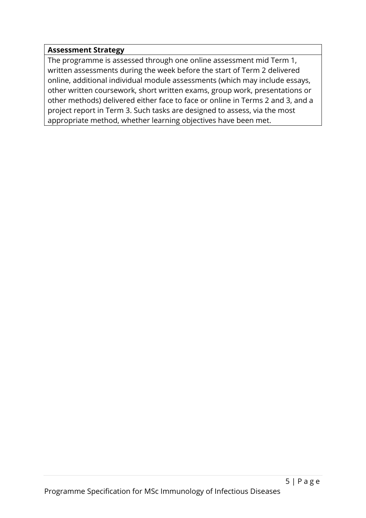### **Assessment Strategy**

The programme is assessed through one online assessment mid Term 1, written assessments during the week before the start of Term 2 delivered online, additional individual module assessments (which may include essays, other written coursework, short written exams, group work, presentations or other methods) delivered either face to face or online in Terms 2 and 3, and a project report in Term 3. Such tasks are designed to assess, via the most appropriate method, whether learning objectives have been met.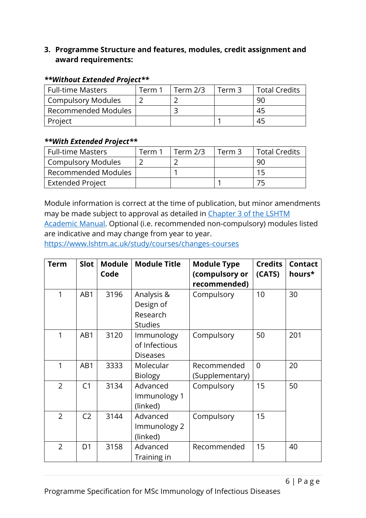### **3. Programme Structure and features, modules, credit assignment and award requirements:**

| <b>Full-time Masters</b> | Term 1 | Term $2/3$ | Term 3 | <b>Total Credits</b> |
|--------------------------|--------|------------|--------|----------------------|
| Compulsory Modules       |        |            |        | 90                   |
| Recommended Modules      |        |            |        | 45                   |
| Project                  |        |            |        | 45                   |

#### *\*\*Without Extended Project\*\**

#### *\*\*With Extended Project\*\**

| <b>Full-time Masters</b>   | Term 1 | Term $2/3$ | Term 3 | <b>Total Credits</b> |
|----------------------------|--------|------------|--------|----------------------|
| Compulsory Modules         |        |            |        | 90                   |
| <b>Recommended Modules</b> |        |            |        |                      |
| <b>Extended Project</b>    |        |            |        |                      |

Module information is correct at the time of publication, but minor amendments may be made subject to approval as detailed in [Chapter 3 of the LSHTM](https://www.lshtm.ac.uk/sites/default/files/academic-manual-chapter-03.pdf)  [Academic Manual.](https://www.lshtm.ac.uk/sites/default/files/academic-manual-chapter-03.pdf) Optional (i.e. recommended non-compulsory) modules listed are indicative and may change from year to year.

<https://www.lshtm.ac.uk/study/courses/changes-courses>

| <b>Term</b>    | <b>Slot</b>    | <b>Module</b><br>Code | <b>Module Title</b>                                   | <b>Module Type</b><br>(compulsory or<br>recommended) | <b>Credits</b><br>(CATS) | <b>Contact</b><br>hours* |
|----------------|----------------|-----------------------|-------------------------------------------------------|------------------------------------------------------|--------------------------|--------------------------|
| 1              | AB1            | 3196                  | Analysis &<br>Design of<br>Research<br><b>Studies</b> | Compulsory                                           | 10                       | 30                       |
| 1              | AB1            | 3120                  | Immunology<br>of Infectious<br><b>Diseases</b>        | Compulsory                                           | 50                       | 201                      |
| 1              | AB1            | 3333                  | Molecular<br>Biology                                  | Recommended<br>(Supplementary)                       | $\Omega$                 | 20                       |
| $\overline{2}$ | C <sub>1</sub> | 3134                  | Advanced<br>Immunology 1<br>(linked)                  | Compulsory                                           | 15                       | 50                       |
| $\overline{2}$ | C <sub>2</sub> | 3144                  | Advanced<br>Immunology 2<br>(linked)                  | Compulsory                                           | 15                       |                          |
| $\overline{2}$ | D <sub>1</sub> | 3158                  | Advanced<br>Training in                               | Recommended                                          | 15                       | 40                       |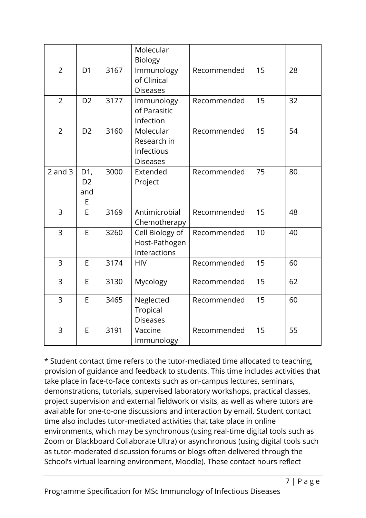|                |                                   |      | Molecular<br><b>Biology</b>                               |             |    |    |
|----------------|-----------------------------------|------|-----------------------------------------------------------|-------------|----|----|
| $\overline{2}$ | D <sub>1</sub>                    | 3167 | Immunology<br>of Clinical<br><b>Diseases</b>              | Recommended | 15 | 28 |
| $\overline{2}$ | D <sub>2</sub>                    | 3177 | Immunology<br>of Parasitic<br>Infection                   | Recommended | 15 | 32 |
| $\overline{2}$ | D <sub>2</sub>                    | 3160 | Molecular<br>Research in<br>Infectious<br><b>Diseases</b> | Recommended | 15 | 54 |
| $2$ and $3$    | D1,<br>D <sub>2</sub><br>and<br>E | 3000 | Extended<br>Project                                       | Recommended | 75 | 80 |
| 3              | E                                 | 3169 | Antimicrobial<br>Chemotherapy                             | Recommended | 15 | 48 |
| 3              | E                                 | 3260 | Cell Biology of<br>Host-Pathogen<br>Interactions          | Recommended | 10 | 40 |
| 3              | E                                 | 3174 | <b>HIV</b>                                                | Recommended | 15 | 60 |
| 3              | E                                 | 3130 | Mycology                                                  | Recommended | 15 | 62 |
| 3              | E                                 | 3465 | Neglected<br>Tropical<br><b>Diseases</b>                  | Recommended | 15 | 60 |
| 3              | E                                 | 3191 | Vaccine<br>Immunology                                     | Recommended | 15 | 55 |

\* Student contact time refers to the tutor-mediated time allocated to teaching, provision of guidance and feedback to students. This time includes activities that take place in face-to-face contexts such as on-campus lectures, seminars, demonstrations, tutorials, supervised laboratory workshops, practical classes, project supervision and external fieldwork or visits, as well as where tutors are available for one-to-one discussions and interaction by email. Student contact time also includes tutor-mediated activities that take place in online environments, which may be synchronous (using real-time digital tools such as Zoom or Blackboard Collaborate Ultra) or asynchronous (using digital tools such as tutor-moderated discussion forums or blogs often delivered through the School's virtual learning environment, Moodle). These contact hours reflect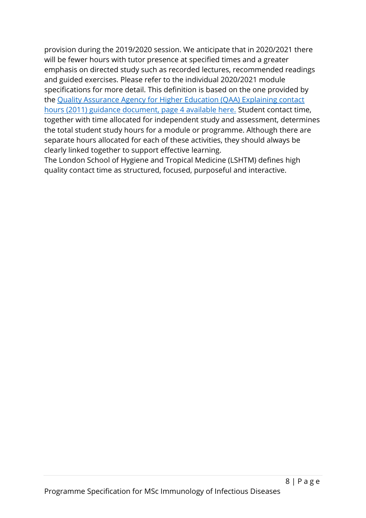provision during the 2019/2020 session. We anticipate that in 2020/2021 there will be fewer hours with tutor presence at specified times and a greater emphasis on directed study such as recorded lectures, recommended readings and guided exercises. Please refer to the individual 2020/2021 module specifications for more detail. This definition is based on the one provided by the [Quality Assurance Agency for Higher Education \(QAA\) Explaining contact](https://www.qaa.ac.uk/docs/qaa/quality-code/contact-hours-guidance.pdf)  [hours \(2011\) guidance document, page 4 available here.](https://www.qaa.ac.uk/docs/qaa/quality-code/contact-hours-guidance.pdf) Student contact time, together with time allocated for independent study and assessment, determines the total student study hours for a module or programme. Although there are separate hours allocated for each of these activities, they should always be clearly linked together to support effective learning.

The London School of Hygiene and Tropical Medicine (LSHTM) defines high quality contact time as structured, focused, purposeful and interactive.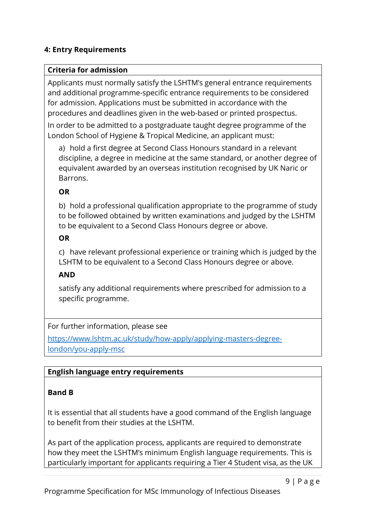# **4: Entry Requirements**

### **Criteria for admission**

Applicants must normally satisfy the LSHTM's general entrance requirements and additional programme-specific entrance requirements to be considered for admission. Applications must be submitted in accordance with the procedures and deadlines given in the web-based or printed prospectus.

In order to be admitted to a postgraduate taught degree programme of the London School of Hygiene & Tropical Medicine, an applicant must:

a) hold a first degree at Second Class Honours standard in a relevant discipline, a degree in medicine at the same standard, or another degree of equivalent awarded by an overseas institution recognised by UK Naric or Barrons.

### **OR**

b) hold a professional qualification appropriate to the programme of study to be followed obtained by written examinations and judged by the LSHTM to be equivalent to a Second Class Honours degree or above.

### **OR**

c) have relevant professional experience or training which is judged by the LSHTM to be equivalent to a Second Class Honours degree or above.

### **AND**

satisfy any additional requirements where prescribed for admission to a specific programme.

For further information, please see

[https://www.lshtm.ac.uk/study/how-apply/applying-masters-degree](https://www.lshtm.ac.uk/study/how-apply/applying-masters-degree-london/you-apply-msc)[london/you-apply-msc](https://www.lshtm.ac.uk/study/how-apply/applying-masters-degree-london/you-apply-msc)

### **English language entry requirements**

# **Band B**

It is essential that all students have a good command of the English language to benefit from their studies at the LSHTM.

As part of the application process, applicants are required to demonstrate how they meet the LSHTM's minimum English language requirements. This is particularly important for applicants requiring a Tier 4 Student visa, as the UK